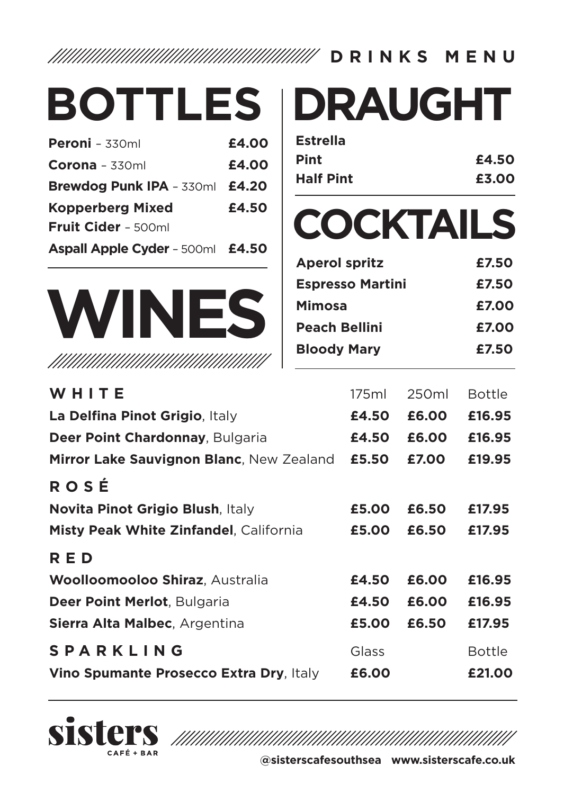**DRINKS MENU**

| <b>BOTTLES</b>                           |       |                      |                         | <b>DRAUGHT</b>   |               |
|------------------------------------------|-------|----------------------|-------------------------|------------------|---------------|
| Peroni - 330ml                           | £4.00 | <b>Estrella</b>      |                         |                  |               |
| $Corona - 330ml$                         | £4.00 | Pint                 |                         |                  | £4.50         |
| Brewdog Punk IPA - 330ml                 | £4.20 | <b>Half Pint</b>     |                         |                  | £3.00         |
| Kopperberg Mixed<br>Fruit Cider - 500ml  | £4.50 |                      |                         | <b>COCKTAILS</b> |               |
| Aspall Apple Cyder - 500ml               | £4.50 |                      |                         |                  |               |
|                                          |       | <b>Aperol spritz</b> |                         |                  | £7.50         |
|                                          |       |                      | <b>Espresso Martini</b> |                  | £7.50         |
| <b>WINES</b>                             |       | Mimosa               |                         |                  | £7.00         |
|                                          |       | <b>Peach Bellini</b> |                         |                  | £7.00         |
|                                          |       | <b>Bloody Mary</b>   |                         |                  | £7.50         |
| WHITE                                    |       |                      | 175ml                   | 250ml            | <b>Bottle</b> |
| La Delfina Pinot Grigio, Italy           |       |                      | £4.50                   | £6.00            | £16.95        |
| Deer Point Chardonnay, Bulgaria          |       |                      | £4.50                   | £6.00            | £16.95        |
| Mirror Lake Sauvignon Blanc, New Zealand |       |                      | £5.50                   | £7.00            | £19.95        |
| ROSÉ                                     |       |                      |                         |                  |               |
| Novita Pinot Grigio Blush, Italy         |       |                      | £5.00                   | £6.50            | £17.95        |
| Misty Peak White Zinfandel, California   |       |                      | £5.00                   | £6.50            | £17.95        |
| <b>RED</b>                               |       |                      |                         |                  |               |
| <b>Woolloomooloo Shiraz, Australia</b>   |       |                      | £4.50                   | £6.00            | £16.95        |
| Deer Point Merlot, Bulgaria              |       |                      | £4.50                   | £6.00            | £16.95        |
| Sierra Alta Malbec, Argentina            |       |                      | £5.00                   | £6.50            | £17.95        |
| <b>SPARKLING</b>                         |       |                      | Glass                   |                  | <b>Bottle</b> |
| Vino Spumante Prosecco Extra Dry, Italy  |       |                      | £6.00                   |                  | £21.00        |